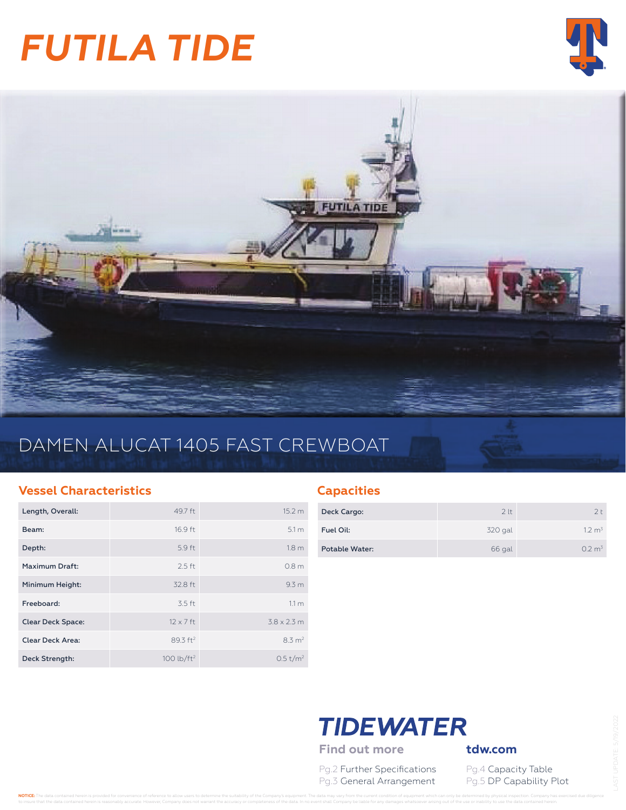# *FUTILA TIDE*





## DAMEN ALUCAT 1405 FAST CREWBOAT

### **Vessel Characteristics**

| Length, Overall:         | 49.7 ft              | 15.2 <sub>m</sub>    |
|--------------------------|----------------------|----------------------|
| Beam:                    | 16.9 ft              | 5.1 <sub>m</sub>     |
| Depth:                   | 5.9 ft               | 1.8 <sub>m</sub>     |
| Maximum Draft:           | $2.5$ ft             | 0.8 <sub>m</sub>     |
| Minimum Height:          | 32.8 ft              | 9.3 <sub>m</sub>     |
| Freeboard:               | 3.5 ft               | 11 <sub>m</sub>      |
| <b>Clear Deck Space:</b> | $12 \times 7$ ft     | $3.8 \times 2.3$ m   |
| <b>Clear Deck Area:</b>  | 89.3 ft <sup>2</sup> | $8.3 \text{ m}^2$    |
| Deck Strength:           | 100 lb/ $ft2$        | 0.5 t/m <sup>2</sup> |

## **Capacities**

| Deck Cargo:    | 2 <sup>lt</sup> | フト                 |
|----------------|-----------------|--------------------|
| Fuel Oil:      | 320 gal         | 1.2 m <sup>3</sup> |
| Potable Water: | 66 gal          | 0.2 m <sup>3</sup> |

## **TIDEWATER**

Find out more **tdw.com** 

Pg.2 Further Specifications Pg.4 Capacity Table Pg.3 General Arrangement Pg.5 DP Capability Plot

NOTICE: The data contained herein is provided for convenience of reference to allow users to determine the suitability of the Company's equipment. The data may vary from the current condition of equipment which can only be to insure that the data contained herein is reasonably accurate. However, Company does not warrant the accuracy or completeness of the data. In no event shall Company be liable for any damages whatsoever arising out of the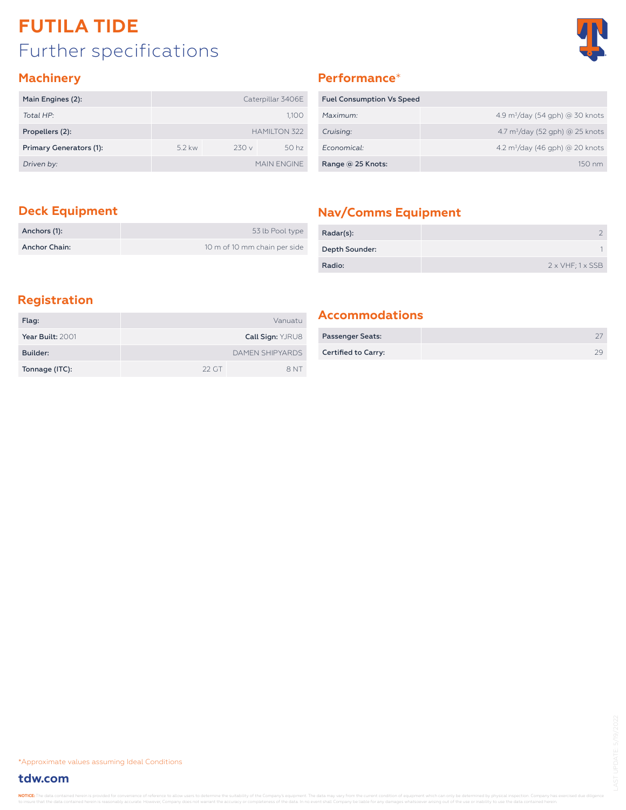## Further specifications **FUTILA TIDE**



### **Machinery**

| Main Engines (2):       |          |      | Caterpillar 3406E   |
|-------------------------|----------|------|---------------------|
| Total HP:               |          |      | 1,100               |
| Propellers (2):         |          |      | <b>HAMILTON 322</b> |
| Primary Generators (1): | $5.2$ kw | 230v | 50 <sub>hz</sub>    |
| Driven by:              |          |      | MAIN FNGINE         |

## **Performance**\*

| <b>Fuel Consumption Vs Speed</b> |                                                  |
|----------------------------------|--------------------------------------------------|
| Maximum:                         | 4.9 $\rm m^3$ /day (54 gph) @ 30 knots           |
| Cruising:                        | 4.7 $\frac{m^3}{day}$ (52 gph) $\omega$ 25 knots |
| Economical:                      | 4.2 $\rm m^3$ /day (46 gph) @ 20 knots           |
| Range @ 25 Knots:                | $150 \text{ nm}$                                 |

| Anchors (1):  | 53 lb Pool type              |
|---------------|------------------------------|
| Anchor Chain: | 10 m of 10 mm chain per side |

## **Deck Equipment Nav/Comms Equipment**

| Radar(s):      |                                 |
|----------------|---------------------------------|
| Depth Sounder: |                                 |
| Radio:         | $2 \times VHF$ ; $1 \times SSB$ |

## **Registration**

| Flag:            |         | Vanuatu                 |
|------------------|---------|-------------------------|
| Year Built: 2001 |         | <b>Call Sign: YJRU8</b> |
| Builder:         |         | <b>DAMEN SHIPYARDS</b>  |
| Tonnage (ITC):   | $22$ GT | 8 NT                    |

### **Accommodations**

| <b>Passenger Seats:</b> |  |
|-------------------------|--|
| Certified to Carry:     |  |

\*Approximate values assuming Ideal Conditions

### **tdw.com**

NOTICE: The data contained herein is provided for cor t the data contained herein is reasonably accurate. However, Company does not warrant the accuracy or completeness of the data. In no event shall Company be liable for any damages whatsoever arising out of the use or inabi